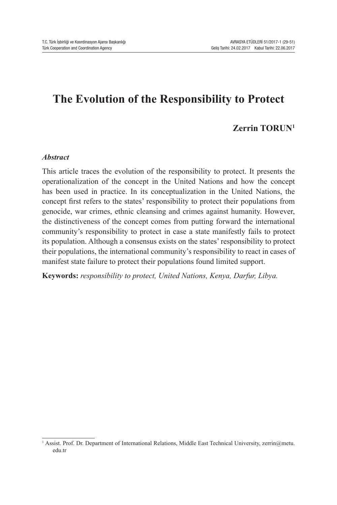# **The Evolution of the Responsibility to Protect**

# **Zerrin TORUN<sup>1</sup>**

#### *Abstract*

This article traces the evolution of the responsibility to protect. It presents the operationalization of the concept in the United Nations and how the concept has been used in practice. In its conceptualization in the United Nations, the concept first refers to the states' responsibility to protect their populations from genocide, war crimes, ethnic cleansing and crimes against humanity. However, the distinctiveness of the concept comes from putting forward the international community's responsibility to protect in case a state manifestly fails to protect its population. Although a consensus exists on the states' responsibility to protect their populations, the international community's responsibility to react in cases of manifest state failure to protect their populations found limited support.

**Keywords:** *responsibility to protect, United Nations, Kenya, Darfur, Libya.*

<sup>&</sup>lt;sup>1</sup> Assist. Prof. Dr. Department of International Relations, Middle East Technical University, zerrin@metu. edu.tr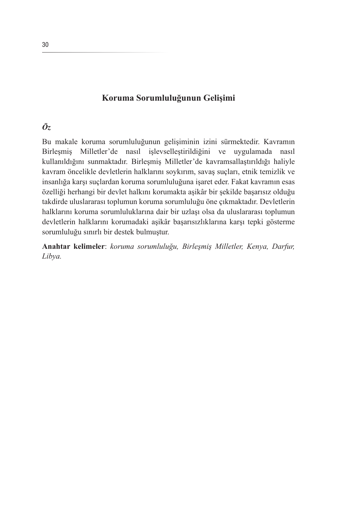# **Koruma Sorumluluğunun Gelişimi**

## *Öz*

Bu makale koruma sorumluluğunun gelişiminin izini sürmektedir. Kavramın Birleşmiş Milletler'de nasıl işlevselleştirildiğini ve uygulamada nasıl kullanıldığını sunmaktadır. Birleşmiş Milletler'de kavramsallaştırıldığı haliyle kavram öncelikle devletlerin halklarını soykırım, savaş suçları, etnik temizlik ve insanlığa karşı suçlardan koruma sorumluluğuna işaret eder. Fakat kavramın esas özelliği herhangi bir devlet halkını korumakta aşikâr bir şekilde başarısız olduğu takdirde uluslararası toplumun koruma sorumluluğu öne çıkmaktadır. Devletlerin halklarını koruma sorumluluklarına dair bir uzlaşı olsa da uluslararası toplumun devletlerin halklarını korumadaki aşikâr başarısızlıklarına karşı tepki gösterme sorumluluğu sınırlı bir destek bulmuştur.

**Anahtar kelimeler**: *koruma sorumluluğu, Birleşmiş Milletler, Kenya, Darfur, Libya.*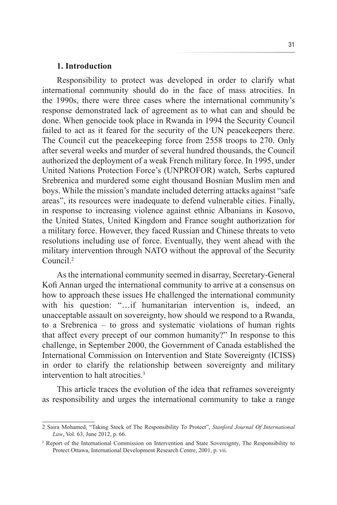#### **1. Introduction**

Responsibility to protect was developed in order to clarify what international community should do in the face of mass atrocities. In the 1990s, there were three cases where the international community's response demonstrated lack of agreement as to what can and should be done. When genocide took place in Rwanda in 1994 the Security Council failed to act as it feared for the security of the UN peacekeepers there. The Council cut the peacekeeping force from 2558 troops to 270. Only after several weeks and murder of several hundred thousands, the Council authorized the deployment of a weak French military force. In 1995, under United Nations Protection Force's (UNPROFOR) watch, Serbs captured Srebrenica and murdered some eight thousand Bosnian Muslim men and boys. While the mission's mandate included deterring attacks against "safe areas", its resources were inadequate to defend vulnerable cities. Finally, in response to increasing violence against ethnic Albanians in Kosovo, the United States, United Kingdom and France sought authorization for a military force. However, they faced Russian and Chinese threats to veto resolutions including use of force. Eventually, they went ahead with the military intervention through NATO without the approval of the Security Council<sup>2</sup>

As the international community seemed in disarray, Secretary-General Kofi Annan urged the international community to arrive at a consensus on how to approach these issues He challenged the international community with his question: "…if humanitarian intervention is, indeed, an unacceptable assault on sovereignty, how should we respond to a Rwanda, to a Srebrenica – to gross and systematic violations of human rights that affect every precept of our common humanity?" In response to this challenge, in September 2000, the Government of Canada established the International Commission on Intervention and State Sovereignty (ICISS) in order to clarify the relationship between sovereignty and military intervention to halt atrocities.3

This article traces the evolution of the idea that reframes sovereignty as responsibility and urges the international community to take a range

<sup>2</sup> Saira Mohamed, "Taking Stock of The Responsibility To Protect", *Stanford Journal Of International Law*, Vol. 63, June 2012, p. 66.

<sup>&</sup>lt;sup>3</sup> Report of the International Commission on Intervention and State Sovereignty, The Responsibility to Protect Ottawa, International Development Research Centre, 2001, p. vii.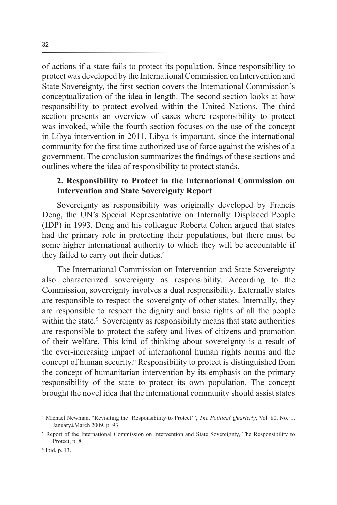of actions if a state fails to protect its population. Since responsibility to protect was developed by the International Commission on Intervention and State Sovereignty, the first section covers the International Commission's conceptualization of the idea in length. The second section looks at how responsibility to protect evolved within the United Nations. The third section presents an overview of cases where responsibility to protect was invoked, while the fourth section focuses on the use of the concept in Libya intervention in 2011. Libya is important, since the international community for the first time authorized use of force against the wishes of a government. The conclusion summarizes the findings of these sections and outlines where the idea of responsibility to protect stands.

## **2. Responsibility to Protect in the International Commission on Intervention and State Sovereignty Report**

Sovereignty as responsibility was originally developed by Francis Deng, the UN's Special Representative on Internally Displaced People (IDP) in 1993. Deng and his colleague Roberta Cohen argued that states had the primary role in protecting their populations, but there must be some higher international authority to which they will be accountable if they failed to carry out their duties.<sup>4</sup>

The International Commission on Intervention and State Sovereignty also characterized sovereignty as responsibility. According to the Commission, sovereignty involves a dual responsibility. Externally states are responsible to respect the sovereignty of other states. Internally, they are responsible to respect the dignity and basic rights of all the people within the state.<sup>5</sup> Sovereignty as responsibility means that state authorities are responsible to protect the safety and lives of citizens and promotion of their welfare. This kind of thinking about sovereignty is a result of the ever-increasing impact of international human rights norms and the concept of human security.<sup>6</sup> Responsibility to protect is distinguished from the concept of humanitarian intervention by its emphasis on the primary responsibility of the state to protect its own population. The concept brought the novel idea that the international community should assist states

<sup>4</sup> Michael Newman, "Revisiting the `Responsibility to Protect'", *The Political Quarterly*, Vol. 80, No. 1, January±March 2009, p. 93.

<sup>&</sup>lt;sup>5</sup> Report of the International Commission on Intervention and State Sovereignty, The Responsibility to Protect, p. 8

<sup>6</sup> Ibid, p. 13.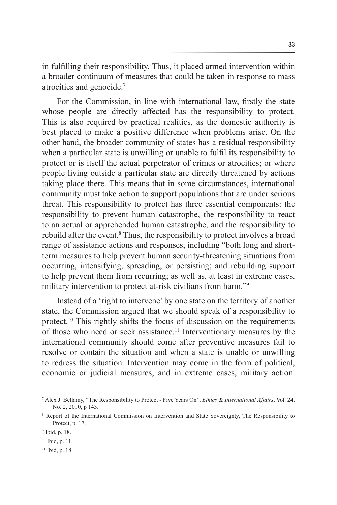in fulfilling their responsibility. Thus, it placed armed intervention within a broader continuum of measures that could be taken in response to mass atrocities and genocide.7

For the Commission, in line with international law, firstly the state whose people are directly affected has the responsibility to protect. This is also required by practical realities, as the domestic authority is best placed to make a positive difference when problems arise. On the other hand, the broader community of states has a residual responsibility when a particular state is unwilling or unable to fulfil its responsibility to protect or is itself the actual perpetrator of crimes or atrocities; or where people living outside a particular state are directly threatened by actions taking place there. This means that in some circumstances, international community must take action to support populations that are under serious threat. This responsibility to protect has three essential components: the responsibility to prevent human catastrophe, the responsibility to react to an actual or apprehended human catastrophe, and the responsibility to rebuild after the event.<sup>8</sup> Thus, the responsibility to protect involves a broad range of assistance actions and responses, including "both long and shortterm measures to help prevent human security-threatening situations from occurring, intensifying, spreading, or persisting; and rebuilding support to help prevent them from recurring; as well as, at least in extreme cases, military intervention to protect at-risk civilians from harm."9

Instead of a 'right to intervene' by one state on the territory of another state, the Commission argued that we should speak of a responsibility to protect.10 This rightly shifts the focus of discussion on the requirements of those who need or seek assistance.11 Interventionary measures by the international community should come after preventive measures fail to resolve or contain the situation and when a state is unable or unwilling to redress the situation. Intervention may come in the form of political, economic or judicial measures, and in extreme cases, military action.

<sup>7</sup> Alex J. Bellamy, "The Responsibility to Protect - Five Years On", *Ethics & International Affairs*, Vol. 24, No. 2, 2010, p 143.

<sup>8</sup> Report of the International Commission on Intervention and State Sovereignty, The Responsibility to Protect, p. 17.

<sup>9</sup> Ibid, p. 18.

<sup>10</sup> Ibid, p. 11.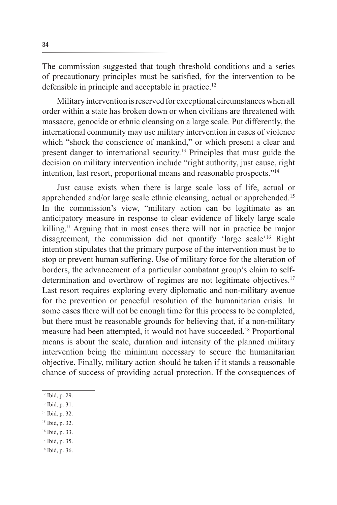The commission suggested that tough threshold conditions and a series of precautionary principles must be satisfied, for the intervention to be defensible in principle and acceptable in practice.12

Military intervention is reserved for exceptional circumstances when all order within a state has broken down or when civilians are threatened with massacre, genocide or ethnic cleansing on a large scale. Put differently, the international community may use military intervention in cases of violence which "shock the conscience of mankind," or which present a clear and present danger to international security.13 Principles that must guide the decision on military intervention include "right authority, just cause, right intention, last resort, proportional means and reasonable prospects."14

Just cause exists when there is large scale loss of life, actual or apprehended and/or large scale ethnic cleansing, actual or apprehended.15 In the commission's view, "military action can be legitimate as an anticipatory measure in response to clear evidence of likely large scale killing." Arguing that in most cases there will not in practice be major disagreement, the commission did not quantify 'large scale'16 Right intention stipulates that the primary purpose of the intervention must be to stop or prevent human suffering. Use of military force for the alteration of borders, the advancement of a particular combatant group's claim to selfdetermination and overthrow of regimes are not legitimate objectives.<sup>17</sup> Last resort requires exploring every diplomatic and non-military avenue for the prevention or peaceful resolution of the humanitarian crisis. In some cases there will not be enough time for this process to be completed, but there must be reasonable grounds for believing that, if a non-military measure had been attempted, it would not have succeeded.18 Proportional means is about the scale, duration and intensity of the planned military intervention being the minimum necessary to secure the humanitarian objective. Finally, military action should be taken if it stands a reasonable chance of success of providing actual protection. If the consequences of

- 15 Ibid, p. 32.
- 16 Ibid, p. 33.
- 17 Ibid, p. 35.
- 18 Ibid, p. 36.

<sup>12</sup> Ibid, p. 29.

<sup>13</sup> Ibid, p. 31.

<sup>14</sup> Ibid, p. 32.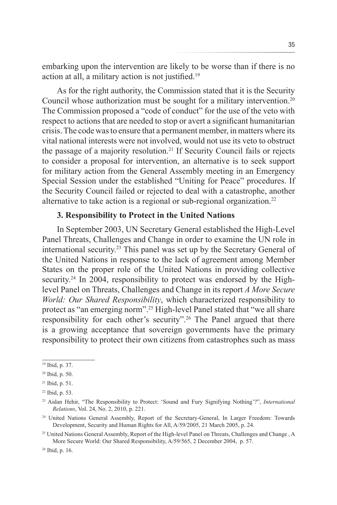embarking upon the intervention are likely to be worse than if there is no action at all, a military action is not justified.19

As for the right authority, the Commission stated that it is the Security Council whose authorization must be sought for a military intervention.20 The Commission proposed a "code of conduct" for the use of the veto with respect to actions that are needed to stop or avert a significant humanitarian crisis. The code was to ensure that a permanent member, in matters where its vital national interests were not involved, would not use its veto to obstruct the passage of a majority resolution.21 If Security Council fails or rejects to consider a proposal for intervention, an alternative is to seek support for military action from the General Assembly meeting in an Emergency Special Session under the established "Uniting for Peace" procedures. If the Security Council failed or rejected to deal with a catastrophe, another alternative to take action is a regional or sub-regional organization.<sup>22</sup>

## **3. Responsibility to Protect in the United Nations**

In September 2003, UN Secretary General established the High-Level Panel Threats, Challenges and Change in order to examine the UN role in international security.23 This panel was set up by the Secretary General of the United Nations in response to the lack of agreement among Member States on the proper role of the United Nations in providing collective security.<sup>24</sup> In 2004, responsibility to protect was endorsed by the Highlevel Panel on Threats, Challenges and Change in its report *A More Secure World: Our Shared Responsibility*, which characterized responsibility to protect as "an emerging norm".25 High-level Panel stated that "we all share responsibility for each other's security".26 The Panel argued that there is a growing acceptance that sovereign governments have the primary responsibility to protect their own citizens from catastrophes such as mass

<sup>19</sup> Ibid, p. 37.

<sup>20</sup> Ibid, p. 50.

<sup>21</sup> Ibid, p. 51.

<sup>22</sup> Ibid, p. 53.

<sup>23</sup> Aidan Hehir, "The Responsibility to Protect: 'Sound and Fury Signifying Nothing'?", *International Relations*, Vol. 24, No. 2, 2010, p. 221.

<sup>24</sup> United Nations General Assembly, Report of the Secretary-General, In Larger Freedom: Towards Development, Security and Human Rights for All, A/59/2005, 21 March 2005, p. 24.

<sup>&</sup>lt;sup>25</sup> United Nations General Assembly, Report of the High-level Panel on Threats, Challenges and Change, A More Secure World: Our Shared Responsibility, A/59/565, 2 December 2004, p. 57.

<sup>26</sup> Ibid, p. 16.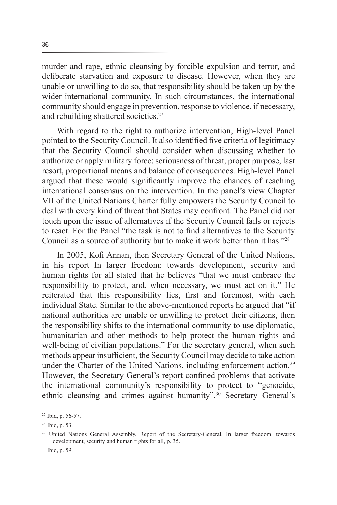murder and rape, ethnic cleansing by forcible expulsion and terror, and deliberate starvation and exposure to disease. However, when they are unable or unwilling to do so, that responsibility should be taken up by the wider international community. In such circumstances, the international community should engage in prevention, response to violence, if necessary, and rebuilding shattered societies.27

With regard to the right to authorize intervention, High-level Panel pointed to the Security Council. It also identified five criteria of legitimacy that the Security Council should consider when discussing whether to authorize or apply military force: seriousness of threat, proper purpose, last resort, proportional means and balance of consequences. High-level Panel argued that these would significantly improve the chances of reaching international consensus on the intervention. In the panel's view Chapter VII of the United Nations Charter fully empowers the Security Council to deal with every kind of threat that States may confront. The Panel did not touch upon the issue of alternatives if the Security Council fails or rejects to react. For the Panel "the task is not to find alternatives to the Security Council as a source of authority but to make it work better than it has."28

In 2005, Kofi Annan, then Secretary General of the United Nations, in his report In larger freedom: towards development, security and human rights for all stated that he believes "that we must embrace the responsibility to protect, and, when necessary, we must act on it." He reiterated that this responsibility lies, first and foremost, with each individual State. Similar to the above-mentioned reports he argued that "if national authorities are unable or unwilling to protect their citizens, then the responsibility shifts to the international community to use diplomatic, humanitarian and other methods to help protect the human rights and well-being of civilian populations." For the secretary general, when such methods appear insufficient, the Security Council may decide to take action under the Charter of the United Nations, including enforcement action.<sup>29</sup> However, the Secretary General's report confined problems that activate the international community's responsibility to protect to "genocide, ethnic cleansing and crimes against humanity".30 Secretary General's

<sup>27</sup> Ibid, p. 56-57.

<sup>28</sup> Ibid, p. 53.

<sup>29</sup> United Nations General Assembly, Report of the Secretary-General, In larger freedom: towards development, security and human rights for all, p. 35.

<sup>30</sup> Ibid, p. 59.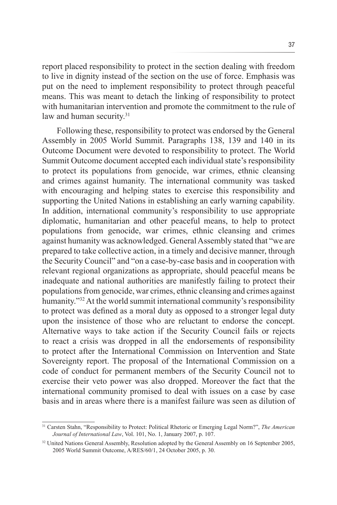report placed responsibility to protect in the section dealing with freedom to live in dignity instead of the section on the use of force. Emphasis was put on the need to implement responsibility to protect through peaceful means. This was meant to detach the linking of responsibility to protect with humanitarian intervention and promote the commitment to the rule of law and human security.<sup>31</sup>

Following these, responsibility to protect was endorsed by the General Assembly in 2005 World Summit. Paragraphs 138, 139 and 140 in its Outcome Document were devoted to responsibility to protect. The World Summit Outcome document accepted each individual state's responsibility to protect its populations from genocide, war crimes, ethnic cleansing and crimes against humanity. The international community was tasked with encouraging and helping states to exercise this responsibility and supporting the United Nations in establishing an early warning capability. In addition, international community's responsibility to use appropriate diplomatic, humanitarian and other peaceful means, to help to protect populations from genocide, war crimes, ethnic cleansing and crimes against humanity was acknowledged. General Assembly stated that "we are prepared to take collective action, in a timely and decisive manner, through the Security Council" and "on a case-by-case basis and in cooperation with relevant regional organizations as appropriate, should peaceful means be inadequate and national authorities are manifestly failing to protect their populations from genocide, war crimes, ethnic cleansing and crimes against humanity."32 At the world summit international community's responsibility to protect was defined as a moral duty as opposed to a stronger legal duty upon the insistence of those who are reluctant to endorse the concept. Alternative ways to take action if the Security Council fails or rejects to react a crisis was dropped in all the endorsements of responsibility to protect after the International Commission on Intervention and State Sovereignty report. The proposal of the International Commission on a code of conduct for permanent members of the Security Council not to exercise their veto power was also dropped. Moreover the fact that the international community promised to deal with issues on a case by case basis and in areas where there is a manifest failure was seen as dilution of

<sup>31</sup> Carsten Stahn, "Responsibility to Protect: Political Rhetoric or Emerging Legal Norm?", *The American Journal of International Law*, Vol. 101, No. 1, January 2007, p. 107.

<sup>&</sup>lt;sup>32</sup> United Nations General Assembly, Resolution adopted by the General Assembly on 16 September 2005, 2005 World Summit Outcome, A/RES/60/1, 24 October 2005, p. 30.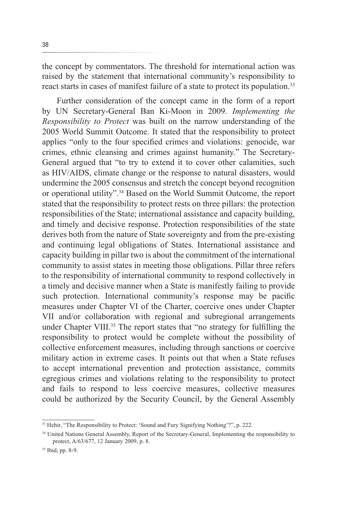the concept by commentators. The threshold for international action was raised by the statement that international community's responsibility to react starts in cases of manifest failure of a state to protect its population.<sup>33</sup>

Further consideration of the concept came in the form of a report by UN Secretary-General Ban Ki-Moon in 2009. *Implementing the Responsibility to Protect* was built on the narrow understanding of the 2005 World Summit Outcome. It stated that the responsibility to protect applies "only to the four specified crimes and violations: genocide, war crimes, ethnic cleansing and crimes against humanity." The Secretary-General argued that "to try to extend it to cover other calamities, such as HIV/AIDS, climate change or the response to natural disasters, would undermine the 2005 consensus and stretch the concept beyond recognition or operational utility".34 Based on the World Summit Outcome, the report stated that the responsibility to protect rests on three pillars: the protection responsibilities of the State; international assistance and capacity building, and timely and decisive response. Protection responsibilities of the state derives both from the nature of State sovereignty and from the pre-existing and continuing legal obligations of States. International assistance and capacity building in pillar two is about the commitment of the international community to assist states in meeting those obligations. Pillar three refers to the responsibility of international community to respond collectively in a timely and decisive manner when a State is manifestly failing to provide such protection. International community's response may be pacific measures under Chapter VI of the Charter, coercive ones under Chapter VII and/or collaboration with regional and subregional arrangements under Chapter VIII.<sup>35</sup> The report states that "no strategy for fulfilling the responsibility to protect would be complete without the possibility of collective enforcement measures, including through sanctions or coercive military action in extreme cases. It points out that when a State refuses to accept international prevention and protection assistance, commits egregious crimes and violations relating to the responsibility to protect and fails to respond to less coercive measures, collective measures could be authorized by the Security Council, by the General Assembly

<sup>&</sup>lt;sup>33</sup> Hehir, "The Responsibility to Protect: 'Sound and Fury Signifying Nothing'?", p. 222.

<sup>&</sup>lt;sup>34</sup> United Nations General Assembly, Report of the Secretary-General, Implementing the responsibility to protect, A/63/677, 12 January 2009, p. 8.

<sup>35</sup> Ibid, pp. 8-9.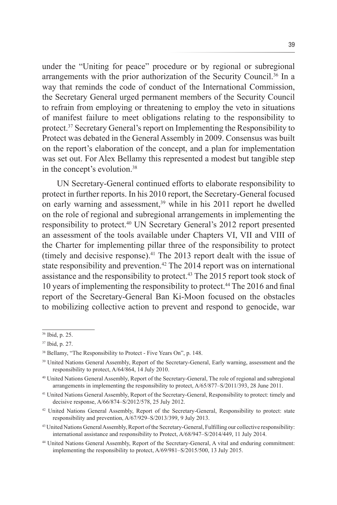under the "Uniting for peace" procedure or by regional or subregional arrangements with the prior authorization of the Security Council.36 In a way that reminds the code of conduct of the International Commission, the Secretary General urged permanent members of the Security Council to refrain from employing or threatening to employ the veto in situations of manifest failure to meet obligations relating to the responsibility to protect.37 Secretary General's report on Implementing the Responsibility to Protect was debated in the General Assembly in 2009. Consensus was built on the report's elaboration of the concept, and a plan for implementation was set out. For Alex Bellamy this represented a modest but tangible step in the concept's evolution.<sup>38</sup>

UN Secretary-General continued efforts to elaborate responsibility to protect in further reports. In his 2010 report, the Secretary-General focused on early warning and assessment,<sup>39</sup> while in his 2011 report he dwelled on the role of regional and subregional arrangements in implementing the responsibility to protect.40 UN Secretary General's 2012 report presented an assessment of the tools available under Chapters VI, VII and VIII of the Charter for implementing pillar three of the responsibility to protect (timely and decisive response). $41$  The 2013 report dealt with the issue of state responsibility and prevention.<sup>42</sup> The 2014 report was on international assistance and the responsibility to protect.<sup>43</sup> The 2015 report took stock of 10 years of implementing the responsibility to protect.44 The 2016 and final report of the Secretary-General Ban Ki-Moon focused on the obstacles to mobilizing collective action to prevent and respond to genocide, war

<sup>36</sup> Ibid, p. 25.

<sup>37</sup> Ibid, p. 27.

<sup>38</sup> Bellamy, "The Responsibility to Protect - Five Years On", p. 148.

<sup>&</sup>lt;sup>39</sup> United Nations General Assembly, Report of the Secretary-General, Early warning, assessment and the responsibility to protect, A/64/864, 14 July 2010.

<sup>40</sup> United Nations General Assembly, Report of the Secretary-General, The role of regional and subregional arrangements in implementing the responsibility to protect, A/65/877–S/2011/393, 28 June 2011.

<sup>41</sup> United Nations General Assembly, Report of the Secretary-General, Responsibility to protect: timely and decisive response, A/66/874–S/2012/578, 25 July 2012.

<sup>&</sup>lt;sup>42</sup> United Nations General Assembly, Report of the Secretary-General, Responsibility to protect: state responsibility and prevention, A/67/929–S/2013/399, 9 July 2013.

<sup>43</sup> United Nations General Assembly, Report of the Secretary-General, Fulfilling our collective responsibility: international assistance and responsibility to Protect, A/68/947–S/2014/449, 11 July 2014.

<sup>44</sup> United Nations General Assembly, Report of the Secretary-General, A vital and enduring commitment: implementing the responsibility to protect, A/69/981–S/2015/500, 13 July 2015.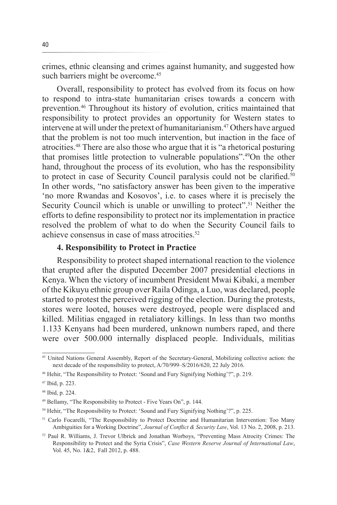crimes, ethnic cleansing and crimes against humanity, and suggested how such barriers might be overcome.<sup>45</sup>

Overall, responsibility to protect has evolved from its focus on how to respond to intra-state humanitarian crises towards a concern with prevention.46 Throughout its history of evolution, critics maintained that responsibility to protect provides an opportunity for Western states to intervene at will under the pretext of humanitarianism.<sup>47</sup> Others have argued that the problem is not too much intervention, but inaction in the face of atrocities.48 There are also those who argue that it is "a rhetorical posturing that promises little protection to vulnerable populations".49On the other hand, throughout the process of its evolution, who has the responsibility to protect in case of Security Council paralysis could not be clarified.<sup>50</sup> In other words, "no satisfactory answer has been given to the imperative 'no more Rwandas and Kosovos', i.e. to cases where it is precisely the Security Council which is unable or unwilling to protect".<sup>51</sup> Neither the efforts to define responsibility to protect nor its implementation in practice resolved the problem of what to do when the Security Council fails to achieve consensus in case of mass atrocities.<sup>52</sup>

### **4. Responsibility to Protect in Practice**

Responsibility to protect shaped international reaction to the violence that erupted after the disputed December 2007 presidential elections in Kenya. When the victory of incumbent President Mwai Kibaki, a member of the Kikuyu ethnic group over Raila Odinga, a Luo, was declared, people started to protest the perceived rigging of the election. During the protests, stores were looted, houses were destroyed, people were displaced and killed. Militias engaged in retaliatory killings. In less than two months 1.133 Kenyans had been murdered, unknown numbers raped, and there were over 500.000 internally displaced people. Individuals, militias

<sup>&</sup>lt;sup>45</sup> United Nations General Assembly, Report of the Secretary-General, Mobilizing collective action: the next decade of the responsibility to protect, A/70/999–S/2016/620, 22 July 2016.

<sup>46</sup> Hehir, "The Responsibility to Protect: 'Sound and Fury Signifying Nothing'?", p. 219.

<sup>47</sup> Ibid, p. 223.

<sup>48</sup> Ibid, p. 224.

<sup>49</sup> Bellamy, "The Responsibility to Protect - Five Years On", p. 144.

<sup>&</sup>lt;sup>50</sup> Hehir, "The Responsibility to Protect: 'Sound and Fury Signifying Nothing'?", p. 225.

<sup>&</sup>lt;sup>51</sup> Carlo Focarelli, "The Responsibility to Protect Doctrine and Humanitarian Intervention: Too Many Ambiguities for a Working Doctrine", *Journal of Conflict & Security Law*, Vol. 13 No. 2, 2008, p. 213.

<sup>52</sup> Paul R. Williams, J. Trevor Ulbrick and Jonathan Worboys, "Preventing Mass Atrocity Crimes: The Responsibility to Protect and the Syria Crisis", *Case Western Reserve Journal of International Law*, Vol. 45, No. 1&2, Fall 2012, p. 488.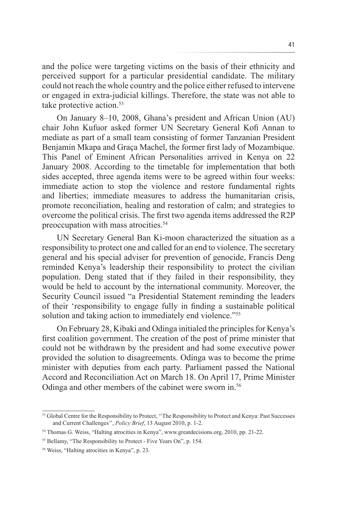and the police were targeting victims on the basis of their ethnicity and perceived support for a particular presidential candidate. The military could not reach the whole country and the police either refused to intervene or engaged in extra-judicial killings. Therefore, the state was not able to take protective action.<sup>53</sup>

On January 8–10, 2008, Ghana's president and African Union (AU) chair John Kufuor asked former UN Secretary General Kofi Annan to mediate as part of a small team consisting of former Tanzanian President Benjamin Mkapa and Graça Machel, the former first lady of Mozambique. This Panel of Eminent African Personalities arrived in Kenya on 22 January 2008. According to the timetable for implementation that both sides accepted, three agenda items were to be agreed within four weeks: immediate action to stop the violence and restore fundamental rights and liberties; immediate measures to address the humanitarian crisis, promote reconciliation, healing and restoration of calm; and strategies to overcome the political crisis. The first two agenda items addressed the R2P preoccupation with mass atrocities.<sup>54</sup>

UN Secretary General Ban Ki-moon characterized the situation as a responsibility to protect one and called for an end to violence. The secretary general and his special adviser for prevention of genocide, Francis Deng reminded Kenya's leadership their responsibility to protect the civilian population. Deng stated that if they failed in their responsibility, they would be held to account by the international community. Moreover, the Security Council issued "a Presidential Statement reminding the leaders of their 'responsibility to engage fully in finding a sustainable political solution and taking action to immediately end violence.<sup>755</sup>

On February 28, Kibaki and Odinga initialed the principles for Kenya's first coalition government. The creation of the post of prime minister that could not be withdrawn by the president and had some executive power provided the solution to disagreements. Odinga was to become the prime minister with deputies from each party. Parliament passed the National Accord and Reconciliation Act on March 18. On April 17, Prime Minister Odinga and other members of the cabinet were sworn in.<sup>56</sup>

<sup>53</sup> Global Centre for the Responsibility to Protect, ''The Responsibility to Protect and Kenya: Past Successes and Current Challenges'', *Policy Brief*, 13 August 2010, p. 1-2.

<sup>54</sup> Thomas G. Weiss, "Halting atrocities in Kenya", www.greatdecisions.org, 2010, pp. 21-22.

<sup>&</sup>lt;sup>55</sup> Bellamy, "The Responsibility to Protect - Five Years On", p. 154.

<sup>56</sup> Weiss, "Halting atrocities in Kenya", p. 23.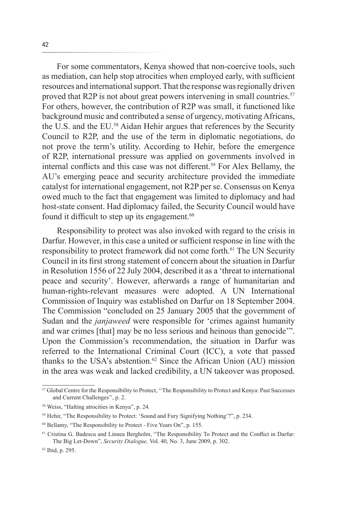For some commentators, Kenya showed that non-coercive tools, such as mediation, can help stop atrocities when employed early, with sufficient resources and international support. That the response was regionally driven proved that R2P is not about great powers intervening in small countries.<sup>57</sup> For others, however, the contribution of R2P was small, it functioned like background music and contributed a sense of urgency, motivating Africans, the U.S. and the EU.58 Aidan Hehir argues that references by the Security Council to R2P, and the use of the term in diplomatic negotiations, do not prove the term's utility. According to Hehir, before the emergence of R2P, international pressure was applied on governments involved in internal conflicts and this case was not different.<sup>59</sup> For Alex Bellamy, the AU's emerging peace and security architecture provided the immediate catalyst for international engagement, not R2P per se. Consensus on Kenya owed much to the fact that engagement was limited to diplomacy and had host-state consent. Had diplomacy failed, the Security Council would have found it difficult to step up its engagement.<sup>60</sup>

Responsibility to protect was also invoked with regard to the crisis in Darfur. However, in this case a united or sufficient response in line with the responsibility to protect framework did not come forth.<sup>61</sup> The UN Security Council in its first strong statement of concern about the situation in Darfur in Resolution 1556 of 22 July 2004, described it as a 'threat to international peace and security'. However, afterwards a range of humanitarian and human-rights-relevant measures were adopted. A UN International Commission of Inquiry was established on Darfur on 18 September 2004. The Commission "concluded on 25 January 2005 that the government of Sudan and the *janjaweed* were responsible for 'crimes against humanity and war crimes [that] may be no less serious and heinous than genocide'". Upon the Commission's recommendation, the situation in Darfur was referred to the International Criminal Court (ICC), a vote that passed thanks to the USA's abstention.<sup>62</sup> Since the African Union (AU) mission in the area was weak and lacked credibility, a UN takeover was proposed.

<sup>&</sup>lt;sup>57</sup> Global Centre for the Responsibility to Protect, "The Responsibility to Protect and Kenya: Past Successes and Current Challenges'', p. 2.

<sup>58</sup> Weiss, "Halting atrocities in Kenya", p. 24.

<sup>59</sup> Hehir, "The Responsibility to Protect: 'Sound and Fury Signifying Nothing'?", p. 234.

<sup>60</sup> Bellamy, "The Responsibility to Protect - Five Years On", p. 155.

<sup>61</sup> Cristina G. Badescu and Linnea Bergholm, "The Responsibility To Protect and the Conflict in Darfur: The Big Let-Down", *Security Dialogue,* Vol. 40, No. 3, June 2009, p. 302.

<sup>62</sup> Ibid, p. 295.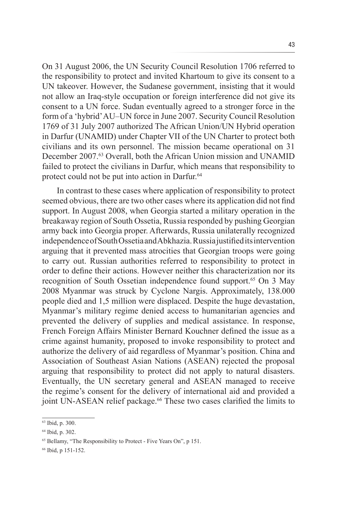On 31 August 2006, the UN Security Council Resolution 1706 referred to the responsibility to protect and invited Khartoum to give its consent to a UN takeover. However, the Sudanese government, insisting that it would not allow an Iraq-style occupation or foreign interference did not give its consent to a UN force. Sudan eventually agreed to a stronger force in the form of a 'hybrid' AU–UN force in June 2007. Security Council Resolution 1769 of 31 July 2007 authorized The African Union/UN Hybrid operation in Darfur (UNAMID) under Chapter VII of the UN Charter to protect both civilians and its own personnel. The mission became operational on 31 December 2007.<sup>63</sup> Overall, both the African Union mission and UNAMID failed to protect the civilians in Darfur, which means that responsibility to protect could not be put into action in Darfur.<sup>64</sup>

In contrast to these cases where application of responsibility to protect seemed obvious, there are two other cases where its application did not find support. In August 2008, when Georgia started a military operation in the breakaway region of South Ossetia, Russia responded by pushing Georgian army back into Georgia proper. Afterwards, Russia unilaterally recognized independence of South Ossetia and Abkhazia. Russia justified its intervention arguing that it prevented mass atrocities that Georgian troops were going to carry out. Russian authorities referred to responsibility to protect in order to define their actions. However neither this characterization nor its recognition of South Ossetian independence found support.<sup>65</sup> On 3 May 2008 Myanmar was struck by Cyclone Nargis. Approximately, 138.000 people died and 1,5 million were displaced. Despite the huge devastation, Myanmar's military regime denied access to humanitarian agencies and prevented the delivery of supplies and medical assistance. In response, French Foreign Affairs Minister Bernard Kouchner defined the issue as a crime against humanity, proposed to invoke responsibility to protect and authorize the delivery of aid regardless of Myanmar's position. China and Association of Southeast Asian Nations (ASEAN) rejected the proposal arguing that responsibility to protect did not apply to natural disasters. Eventually, the UN secretary general and ASEAN managed to receive the regime's consent for the delivery of international aid and provided a joint UN-ASEAN relief package.<sup>66</sup> These two cases clarified the limits to

<sup>63</sup> Ibid, p. 300.

<sup>64</sup> Ibid, p. 302.

<sup>65</sup> Bellamy, "The Responsibility to Protect - Five Years On", p 151.

<sup>66</sup> Ibid, p 151-152.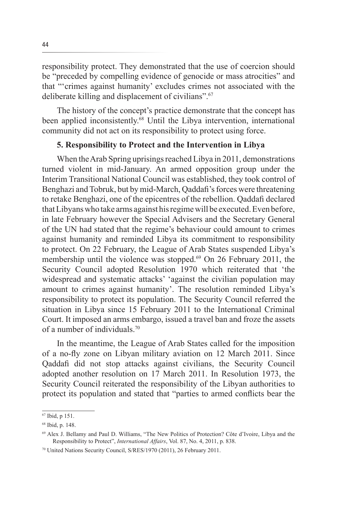responsibility protect. They demonstrated that the use of coercion should be "preceded by compelling evidence of genocide or mass atrocities" and that "'crimes against humanity' excludes crimes not associated with the deliberate killing and displacement of civilians".67

The history of the concept's practice demonstrate that the concept has been applied inconsistently.<sup>68</sup> Until the Libya intervention, international community did not act on its responsibility to protect using force.

## **5. Responsibility to Protect and the Intervention in Libya**

When the Arab Spring uprisings reached Libya in 2011, demonstrations turned violent in mid-January. An armed opposition group under the Interim Transitional National Council was established, they took control of Benghazi and Tobruk, but by mid-March, Qaddafi's forces were threatening to retake Benghazi, one of the epicentres of the rebellion. Qaddafi declared that Libyans who take arms against his regime will be executed. Even before, in late February however the Special Advisers and the Secretary General of the UN had stated that the regime's behaviour could amount to crimes against humanity and reminded Libya its commitment to responsibility to protect. On 22 February, the League of Arab States suspended Libya's membership until the violence was stopped.<sup>69</sup> On 26 February 2011, the Security Council adopted Resolution 1970 which reiterated that 'the widespread and systematic attacks' 'against the civilian population may amount to crimes against humanity'. The resolution reminded Libya's responsibility to protect its population. The Security Council referred the situation in Libya since 15 February 2011 to the International Criminal Court. It imposed an arms embargo, issued a travel ban and froze the assets of a number of individuals<sup>70</sup>

In the meantime, the League of Arab States called for the imposition of a no-fly zone on Libyan military aviation on 12 March 2011. Since Qaddafi did not stop attacks against civilians, the Security Council adopted another resolution on 17 March 2011. In Resolution 1973, the Security Council reiterated the responsibility of the Libyan authorities to protect its population and stated that "parties to armed conflicts bear the

<sup>67</sup> Ibid, p 151.

<sup>68</sup> Ibid, p. 148.

<sup>69</sup> Alex J. Bellamy and Paul D. Williams, "The New Politics of Protection? Côte d'Ivoire, Libya and the Responsibility to Protect", *International Affairs*, Vol. 87, No. 4, 2011, p. 838.

<sup>70</sup> United Nations Security Council, S/RES/1970 (2011), 26 February 2011.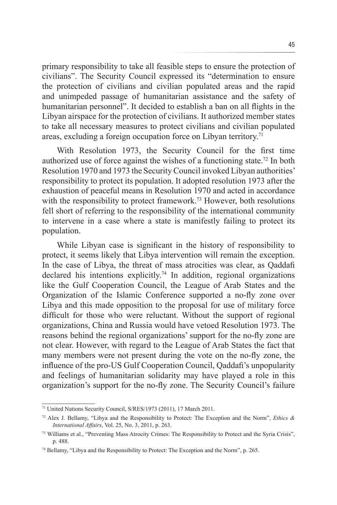primary responsibility to take all feasible steps to ensure the protection of civilians". The Security Council expressed its "determination to ensure the protection of civilians and civilian populated areas and the rapid and unimpeded passage of humanitarian assistance and the safety of humanitarian personnel". It decided to establish a ban on all flights in the Libyan airspace for the protection of civilians. It authorized member states to take all necessary measures to protect civilians and civilian populated areas, excluding a foreign occupation force on Libyan territory.71

With Resolution 1973, the Security Council for the first time authorized use of force against the wishes of a functioning state.72 In both Resolution 1970 and 1973 the Security Council invoked Libyan authorities' responsibility to protect its population. It adopted resolution 1973 after the exhaustion of peaceful means in Resolution 1970 and acted in accordance with the responsibility to protect framework.<sup>73</sup> However, both resolutions fell short of referring to the responsibility of the international community to intervene in a case where a state is manifestly failing to protect its population.

While Libyan case is significant in the history of responsibility to protect, it seems likely that Libya intervention will remain the exception. In the case of Libya, the threat of mass atrocities was clear, as Qaddafi declared his intentions explicitly.<sup>74</sup> In addition, regional organizations like the Gulf Cooperation Council, the League of Arab States and the Organization of the Islamic Conference supported a no-fly zone over Libya and this made opposition to the proposal for use of military force difficult for those who were reluctant. Without the support of regional organizations, China and Russia would have vetoed Resolution 1973. The reasons behind the regional organizations' support for the no-fly zone are not clear. However, with regard to the League of Arab States the fact that many members were not present during the vote on the no-fly zone, the influence of the pro-US Gulf Cooperation Council, Qaddafi's unpopularity and feelings of humanitarian solidarity may have played a role in this organization's support for the no-fly zone. The Security Council's failure

<sup>71</sup> United Nations Security Council, S/RES/1973 (2011), 17 March 2011.

<sup>72</sup> Alex J. Bellamy, "Libya and the Responsibility to Protect: The Exception and the Norm", *Ethics & International Affairs*, Vol. 25, No. 3, 2011, p. 263.

<sup>73</sup> Williams et al., "Preventing Mass Atrocity Crimes: The Responsibility to Protect and the Syria Crisis", p. 488.

<sup>74</sup> Bellamy, "Libya and the Responsibility to Protect: The Exception and the Norm", p. 265.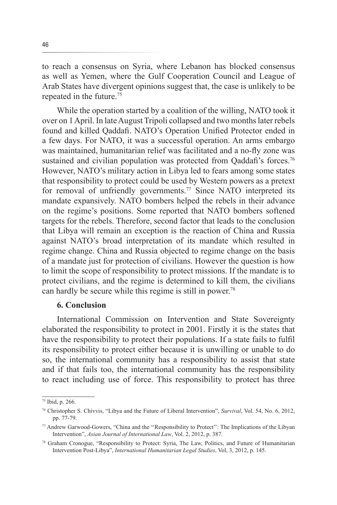to reach a consensus on Syria, where Lebanon has blocked consensus as well as Yemen, where the Gulf Cooperation Council and League of Arab States have divergent opinions suggest that, the case is unlikely to be repeated in the future.75

While the operation started by a coalition of the willing, NATO took it over on 1 April. In late August Tripoli collapsed and two months later rebels found and killed Qaddafi. NATO's Operation Unified Protector ended in a few days. For NATO, it was a successful operation. An arms embargo was maintained, humanitarian relief was facilitated and a no-fly zone was sustained and civilian population was protected from Qaddafi's forces.<sup>76</sup> However, NATO's military action in Libya led to fears among some states that responsibility to protect could be used by Western powers as a pretext for removal of unfriendly governments.<sup>77</sup> Since NATO interpreted its mandate expansively. NATO bombers helped the rebels in their advance on the regime's positions. Some reported that NATO bombers softened targets for the rebels. Therefore, second factor that leads to the conclusion that Libya will remain an exception is the reaction of China and Russia against NATO's broad interpretation of its mandate which resulted in regime change. China and Russia objected to regime change on the basis of a mandate just for protection of civilians. However the question is how to limit the scope of responsibility to protect missions. If the mandate is to protect civilians, and the regime is determined to kill them, the civilians can hardly be secure while this regime is still in power.78

## **6. Conclusion**

International Commission on Intervention and State Sovereignty elaborated the responsibility to protect in 2001. Firstly it is the states that have the responsibility to protect their populations. If a state fails to fulfil its responsibility to protect either because it is unwilling or unable to do so, the international community has a responsibility to assist that state and if that fails too, the international community has the responsibility to react including use of force. This responsibility to protect has three

<sup>75</sup> Ibid, p. 266.

<sup>76</sup> Christopher S. Chivvis, "Libya and the Future of Liberal Intervention", *Survival*, Vol. 54, No. 6, 2012, pp. 77-79.

<sup>77</sup> Andrew Garwood-Gowers, "China and the ''Responsibility to Protect'': The Implications of the Libyan Intervention", *Asian Journal of International Law*, Vol. 2, 2012, p. 387.

<sup>78</sup> Graham Cronogue, "Responsibility to Protect: Syria, The Law, Politics, and Future of Humanitarian Intervention Post-Libya", *International Humanitarian Legal Studies*, Vol, 3, 2012, p. 145.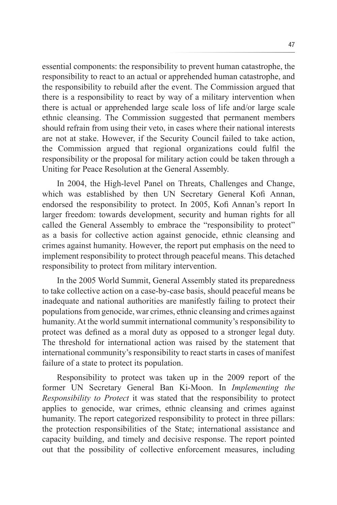essential components: the responsibility to prevent human catastrophe, the responsibility to react to an actual or apprehended human catastrophe, and the responsibility to rebuild after the event. The Commission argued that there is a responsibility to react by way of a military intervention when there is actual or apprehended large scale loss of life and/or large scale ethnic cleansing. The Commission suggested that permanent members should refrain from using their veto, in cases where their national interests are not at stake. However, if the Security Council failed to take action, the Commission argued that regional organizations could fulfil the responsibility or the proposal for military action could be taken through a Uniting for Peace Resolution at the General Assembly.

In 2004, the High-level Panel on Threats, Challenges and Change, which was established by then UN Secretary General Kofi Annan, endorsed the responsibility to protect. In 2005, Kofi Annan's report In larger freedom: towards development, security and human rights for all called the General Assembly to embrace the "responsibility to protect" as a basis for collective action against genocide, ethnic cleansing and crimes against humanity. However, the report put emphasis on the need to implement responsibility to protect through peaceful means. This detached responsibility to protect from military intervention.

In the 2005 World Summit, General Assembly stated its preparedness to take collective action on a case-by-case basis, should peaceful means be inadequate and national authorities are manifestly failing to protect their populations from genocide, war crimes, ethnic cleansing and crimes against humanity. At the world summit international community's responsibility to protect was defined as a moral duty as opposed to a stronger legal duty. The threshold for international action was raised by the statement that international community's responsibility to react starts in cases of manifest failure of a state to protect its population.

Responsibility to protect was taken up in the 2009 report of the former UN Secretary General Ban Ki-Moon. In *Implementing the Responsibility to Protect* it was stated that the responsibility to protect applies to genocide, war crimes, ethnic cleansing and crimes against humanity. The report categorized responsibility to protect in three pillars: the protection responsibilities of the State; international assistance and capacity building, and timely and decisive response. The report pointed out that the possibility of collective enforcement measures, including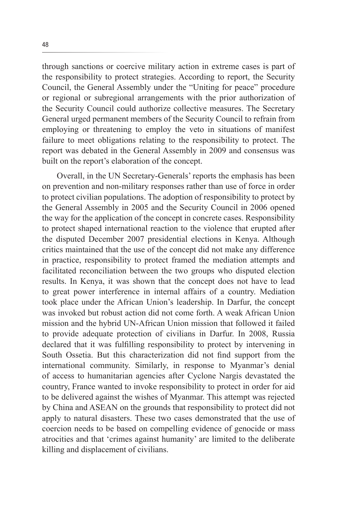through sanctions or coercive military action in extreme cases is part of the responsibility to protect strategies. According to report, the Security Council, the General Assembly under the "Uniting for peace" procedure or regional or subregional arrangements with the prior authorization of the Security Council could authorize collective measures. The Secretary General urged permanent members of the Security Council to refrain from employing or threatening to employ the veto in situations of manifest failure to meet obligations relating to the responsibility to protect. The report was debated in the General Assembly in 2009 and consensus was built on the report's elaboration of the concept.

Overall, in the UN Secretary-Generals' reports the emphasis has been on prevention and non-military responses rather than use of force in order to protect civilian populations. The adoption of responsibility to protect by the General Assembly in 2005 and the Security Council in 2006 opened the way for the application of the concept in concrete cases. Responsibility to protect shaped international reaction to the violence that erupted after the disputed December 2007 presidential elections in Kenya. Although critics maintained that the use of the concept did not make any difference in practice, responsibility to protect framed the mediation attempts and facilitated reconciliation between the two groups who disputed election results. In Kenya, it was shown that the concept does not have to lead to great power interference in internal affairs of a country. Mediation took place under the African Union's leadership. In Darfur, the concept was invoked but robust action did not come forth. A weak African Union mission and the hybrid UN-African Union mission that followed it failed to provide adequate protection of civilians in Darfur. In 2008, Russia declared that it was fulfilling responsibility to protect by intervening in South Ossetia. But this characterization did not find support from the international community. Similarly, in response to Myanmar's denial of access to humanitarian agencies after Cyclone Nargis devastated the country, France wanted to invoke responsibility to protect in order for aid to be delivered against the wishes of Myanmar. This attempt was rejected by China and ASEAN on the grounds that responsibility to protect did not apply to natural disasters. These two cases demonstrated that the use of coercion needs to be based on compelling evidence of genocide or mass atrocities and that 'crimes against humanity' are limited to the deliberate killing and displacement of civilians.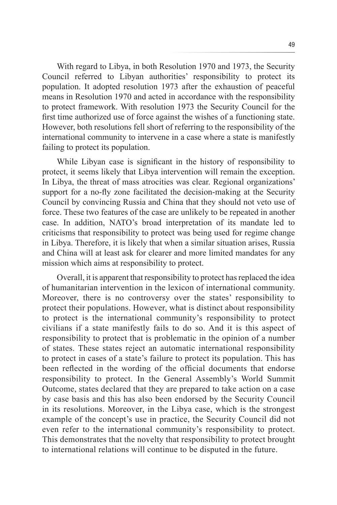With regard to Libya, in both Resolution 1970 and 1973, the Security Council referred to Libyan authorities' responsibility to protect its population. It adopted resolution 1973 after the exhaustion of peaceful means in Resolution 1970 and acted in accordance with the responsibility to protect framework. With resolution 1973 the Security Council for the first time authorized use of force against the wishes of a functioning state. However, both resolutions fell short of referring to the responsibility of the international community to intervene in a case where a state is manifestly failing to protect its population.

While Libyan case is significant in the history of responsibility to protect, it seems likely that Libya intervention will remain the exception. In Libya, the threat of mass atrocities was clear. Regional organizations' support for a no-fly zone facilitated the decision-making at the Security Council by convincing Russia and China that they should not veto use of force. These two features of the case are unlikely to be repeated in another case. In addition, NATO's broad interpretation of its mandate led to criticisms that responsibility to protect was being used for regime change in Libya. Therefore, it is likely that when a similar situation arises, Russia and China will at least ask for clearer and more limited mandates for any mission which aims at responsibility to protect.

Overall, it is apparent that responsibility to protect has replaced the idea of humanitarian intervention in the lexicon of international community. Moreover, there is no controversy over the states' responsibility to protect their populations. However, what is distinct about responsibility to protect is the international community's responsibility to protect civilians if a state manifestly fails to do so. And it is this aspect of responsibility to protect that is problematic in the opinion of a number of states. These states reject an automatic international responsibility to protect in cases of a state's failure to protect its population. This has been reflected in the wording of the official documents that endorse responsibility to protect. In the General Assembly's World Summit Outcome, states declared that they are prepared to take action on a case by case basis and this has also been endorsed by the Security Council in its resolutions. Moreover, in the Libya case, which is the strongest example of the concept's use in practice, the Security Council did not even refer to the international community's responsibility to protect. This demonstrates that the novelty that responsibility to protect brought to international relations will continue to be disputed in the future.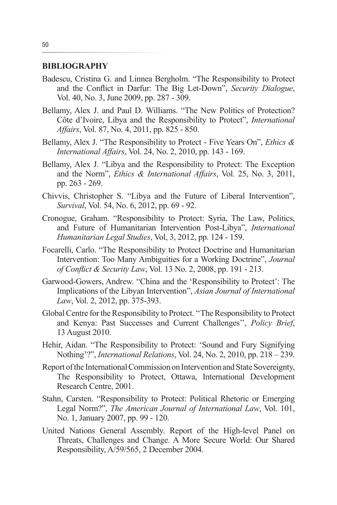#### **BIBLIOGRAPHY**

- Badescu, Cristina G. and Linnea Bergholm. "The Responsibility to Protect and the Conflict in Darfur: The Big Let-Down", *Security Dialogue*, Vol. 40, No. 3, June 2009, pp. 287 - 309.
- Bellamy, Alex J. and Paul D. Williams. "The New Politics of Protection? Côte d'Ivoire, Libya and the Responsibility to Protect", *International Affairs*, Vol. 87, No. 4, 2011, pp. 825 - 850.
- Bellamy, Alex J. "The Responsibility to Protect Five Years On", *Ethics & International Affairs*, Vol. 24, No. 2, 2010, pp. 143 - 169.
- Bellamy, Alex J. "Libya and the Responsibility to Protect: The Exception and the Norm", *Ethics & International Affairs*, Vol. 25, No. 3, 2011, pp. 263 - 269.
- Chivvis, Christopher S. "Libya and the Future of Liberal Intervention", *Survival*, Vol. 54, No. 6, 2012, pp. 69 - 92.
- Cronogue, Graham. "Responsibility to Protect: Syria, The Law, Politics, and Future of Humanitarian Intervention Post-Libya", *International Humanitarian Legal Studies*, Vol, 3, 2012, pp. 124 - 159.
- Focarelli, Carlo. "The Responsibility to Protect Doctrine and Humanitarian Intervention: Too Many Ambiguities for a Working Doctrine", *Journal of Conflict & Security Law*, Vol. 13 No. 2, 2008, pp. 191 - 213.
- Garwood-Gowers, Andrew. "China and the 'Responsibility to Protect': The Implications of the Libyan Intervention", *Asian Journal of International Law*, Vol. 2, 2012, pp. 375-393.
- Global Centre for the Responsibility to Protect. ''The Responsibility to Protect and Kenya: Past Successes and Current Challenges'', *Policy Brief*, 13 August 2010.
- Hehir, Aidan. "The Responsibility to Protect: 'Sound and Fury Signifying Nothing'?", *International Relations*, Vol. 24, No. 2, 2010, pp. 218 – 239.
- Report of the International Commission on Intervention and State Sovereignty, The Responsibility to Protect, Ottawa, International Development Research Centre, 2001.
- Stahn, Carsten. "Responsibility to Protect: Political Rhetoric or Emerging Legal Norm?", *The American Journal of International Law*, Vol. 101, No. 1, January 2007, pp. 99 - 120.
- United Nations General Assembly. Report of the High-level Panel on Threats, Challenges and Change. A More Secure World: Our Shared Responsibility, A/59/565, 2 December 2004.